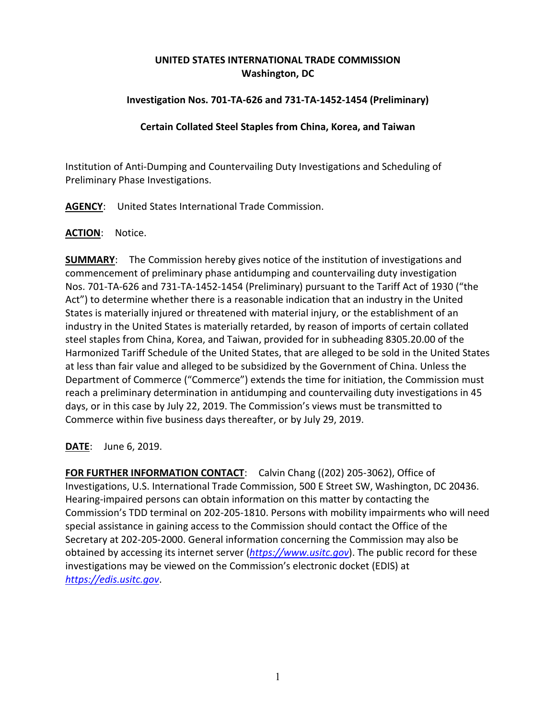# **UNITED STATES INTERNATIONAL TRADE COMMISSION Washington, DC**

## **Investigation Nos. 701-TA-626 and 731-TA-1452-1454 (Preliminary)**

### **Certain Collated Steel Staples from China, Korea, and Taiwan**

Institution of Anti-Dumping and Countervailing Duty Investigations and Scheduling of Preliminary Phase Investigations.

**AGENCY**: United States International Trade Commission.

### **ACTION**: Notice.

**SUMMARY**: The Commission hereby gives notice of the institution of investigations and commencement of preliminary phase antidumping and countervailing duty investigation Nos. 701-TA-626 and 731-TA-1452-1454 (Preliminary) pursuant to the Tariff Act of 1930 ("the Act") to determine whether there is a reasonable indication that an industry in the United States is materially injured or threatened with material injury, or the establishment of an industry in the United States is materially retarded, by reason of imports of certain collated steel staples from China, Korea, and Taiwan, provided for in subheading 8305.20.00 of the Harmonized Tariff Schedule of the United States, that are alleged to be sold in the United States at less than fair value and alleged to be subsidized by the Government of China. Unless the Department of Commerce ("Commerce") extends the time for initiation, the Commission must reach a preliminary determination in antidumping and countervailing duty investigations in 45 days, or in this case by July 22, 2019. The Commission's views must be transmitted to Commerce within five business days thereafter, or by July 29, 2019.

**DATE**: June 6, 2019.

**FOR FURTHER INFORMATION CONTACT**: Calvin Chang ((202) 205-3062), Office of Investigations, U.S. International Trade Commission, 500 E Street SW, Washington, DC 20436. Hearing-impaired persons can obtain information on this matter by contacting the Commission's TDD terminal on 202-205-1810. Persons with mobility impairments who will need special assistance in gaining access to the Commission should contact the Office of the Secretary at 202-205-2000. General information concerning the Commission may also be obtained by accessing its internet server (*[https://www.usitc.gov](https://www.usitc.gov/)*). The public record for these investigations may be viewed on the Commission's electronic docket (EDIS) at *[https://edis.usitc.gov](https://edis.usitc.gov/)*.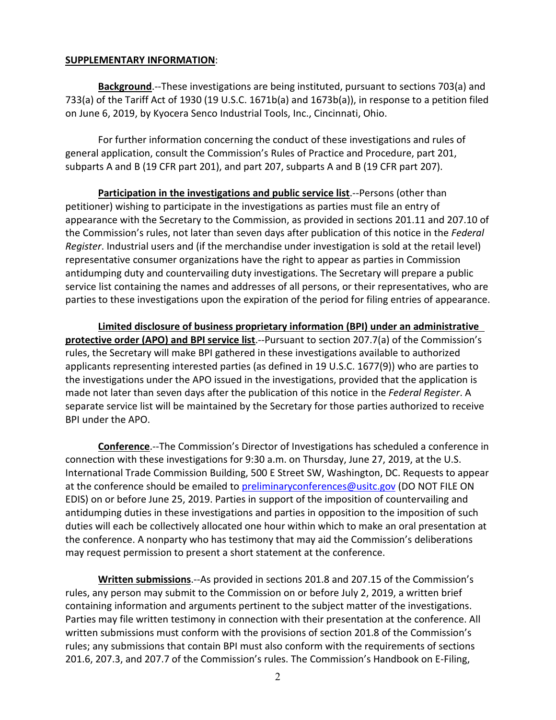#### **SUPPLEMENTARY INFORMATION**:

**Background**.--These investigations are being instituted, pursuant to sections 703(a) and 733(a) of the Tariff Act of 1930 (19 U.S.C. 1671b(a) and 1673b(a)), in response to a petition filed on June 6, 2019, by Kyocera Senco Industrial Tools, Inc., Cincinnati, Ohio.

For further information concerning the conduct of these investigations and rules of general application, consult the Commission's Rules of Practice and Procedure, part 201, subparts A and B (19 CFR part 201), and part 207, subparts A and B (19 CFR part 207).

**Participation in the investigations and public service list**.--Persons (other than petitioner) wishing to participate in the investigations as parties must file an entry of appearance with the Secretary to the Commission, as provided in sections 201.11 and 207.10 of the Commission's rules, not later than seven days after publication of this notice in the *Federal Register*. Industrial users and (if the merchandise under investigation is sold at the retail level) representative consumer organizations have the right to appear as parties in Commission antidumping duty and countervailing duty investigations. The Secretary will prepare a public service list containing the names and addresses of all persons, or their representatives, who are parties to these investigations upon the expiration of the period for filing entries of appearance.

**Limited disclosure of business proprietary information (BPI) under an administrative protective order (APO) and BPI service list**.--Pursuant to section 207.7(a) of the Commission's rules, the Secretary will make BPI gathered in these investigations available to authorized applicants representing interested parties (as defined in 19 U.S.C. 1677(9)) who are parties to the investigations under the APO issued in the investigations, provided that the application is made not later than seven days after the publication of this notice in the *Federal Register*. A separate service list will be maintained by the Secretary for those parties authorized to receive BPI under the APO.

**Conference**.--The Commission's Director of Investigations has scheduled a conference in connection with these investigations for 9:30 a.m. on Thursday, June 27, 2019, at the U.S. International Trade Commission Building, 500 E Street SW, Washington, DC. Requests to appear at the conference should be emailed to [preliminaryconferences@usitc.gov](mailto:preliminaryconferences@usitc.gov) (DO NOT FILE ON EDIS) on or before June 25, 2019. Parties in support of the imposition of countervailing and antidumping duties in these investigations and parties in opposition to the imposition of such duties will each be collectively allocated one hour within which to make an oral presentation at the conference. A nonparty who has testimony that may aid the Commission's deliberations may request permission to present a short statement at the conference.

**Written submissions**.--As provided in sections 201.8 and 207.15 of the Commission's rules, any person may submit to the Commission on or before July 2, 2019, a written brief containing information and arguments pertinent to the subject matter of the investigations. Parties may file written testimony in connection with their presentation at the conference. All written submissions must conform with the provisions of section 201.8 of the Commission's rules; any submissions that contain BPI must also conform with the requirements of sections 201.6, 207.3, and 207.7 of the Commission's rules. The Commission's Handbook on E-Filing,